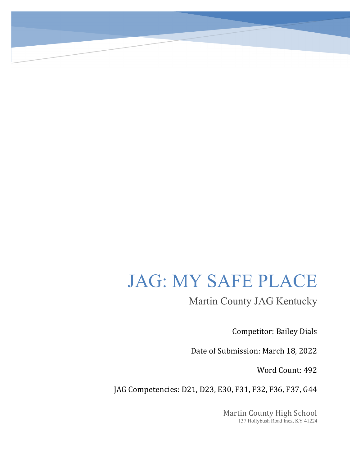## JAG: MY SAFE PLACE

Martin County JAG Kentucky

Competitor: Bailey Dials

Date of Submission: March 18, 2022

Word Count: 492

JAG Competencies: D21, D23, E30, F31, F32, F36, F37, G44

Martin County High School 137 Hollybush Road Inez, KY 41224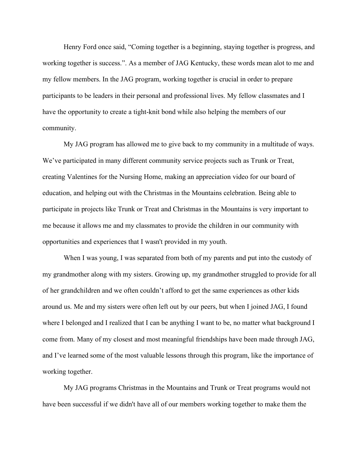Henry Ford once said, "Coming together is a beginning, staying together is progress, and working together is success.". As a member of JAG Kentucky, these words mean alot to me and my fellow members. In the JAG program, working together is crucial in order to prepare participants to be leaders in their personal and professional lives. My fellow classmates and I have the opportunity to create a tight-knit bond while also helping the members of our community.

My JAG program has allowed me to give back to my community in a multitude of ways. We've participated in many different community service projects such as Trunk or Treat, creating Valentines for the Nursing Home, making an appreciation video for our board of education, and helping out with the Christmas in the Mountains celebration. Being able to participate in projects like Trunk or Treat and Christmas in the Mountains is very important to me because it allows me and my classmates to provide the children in our community with opportunities and experiences that I wasn't provided in my youth.

When I was young, I was separated from both of my parents and put into the custody of my grandmother along with my sisters. Growing up, my grandmother struggled to provide for all of her grandchildren and we often couldn't afford to get the same experiences as other kids around us. Me and my sisters were often left out by our peers, but when I joined JAG, I found where I belonged and I realized that I can be anything I want to be, no matter what background I come from. Many of my closest and most meaningful friendships have been made through JAG, and I've learned some of the most valuable lessons through this program, like the importance of working together.

My JAG programs Christmas in the Mountains and Trunk or Treat programs would not have been successful if we didn't have all of our members working together to make them the